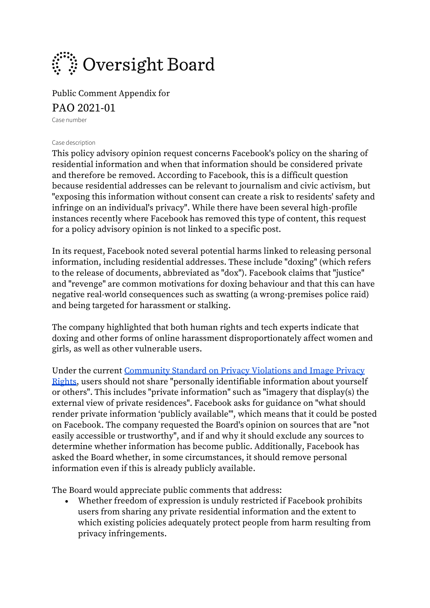

Public Comment Appendix for

### PAO 2021-01

Case number

### Case description

This policy advisory opinion request concerns Facebook's policy on the sharing of residential information and when that information should be considered private and therefore be removed. According to Facebook, this is a difficult question because residential addresses can be relevant to journalism and civic activism, but "exposing this information without consent can create a risk to residents' safety and infringe on an individual's privacy". While there have been several high-profile instances recently where Facebook has removed this type of content, this request for a policy advisory opinion is not linked to a specific post.

In its request, Facebook noted several potential harms linked to releasing personal information, including residential addresses. These include "doxing" (which refers to the release of documents, abbreviated as "dox"). Facebook claims that "justice" and "revenge" are common motivations for doxing behaviour and that this can have negative real-world consequences such as swatting (a wrong-premises police raid) and being targeted for harassment or stalking.

The company highlighted that both human rights and tech experts indicate that doxing and other forms of online harassment disproportionately affect women and girls, as well as other vulnerable users.

Under the current [Community Standard on Privacy Violations and Image Privacy](https://www.facebook.com/communitystandards/privacy_violations_image_rights)  [Rights,](https://www.facebook.com/communitystandards/privacy_violations_image_rights) users should not share "personally identifiable information about yourself or others". This includes "private information" such as "imagery that display(s) the external view of private residences". Facebook asks for guidance on "what should render private information 'publicly available'", which means that it could be posted on Facebook. The company requested the Board's opinion on sources that are "not easily accessible or trustworthy", and if and why it should exclude any sources to determine whether information has become public. Additionally, Facebook has asked the Board whether, in some circumstances, it should remove personal information even if this is already publicly available.

The Board would appreciate public comments that address:

• Whether freedom of expression is unduly restricted if Facebook prohibits users from sharing any private residential information and the extent to which existing policies adequately protect people from harm resulting from privacy infringements.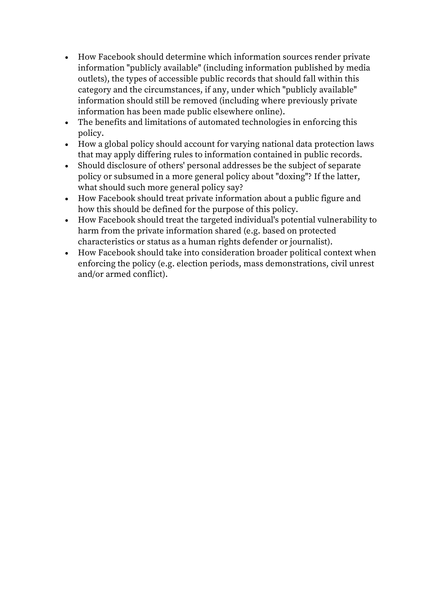- How Facebook should determine which information sources render private information "publicly available" (including information published by media outlets), the types of accessible public records that should fall within this category and the circumstances, if any, under which "publicly available" information should still be removed (including where previously private information has been made public elsewhere online).
- The benefits and limitations of automated technologies in enforcing this policy.
- How a global policy should account for varying national data protection laws that may apply differing rules to information contained in public records.
- Should disclosure of others' personal addresses be the subject of separate policy or subsumed in a more general policy about "doxing"? If the latter, what should such more general policy say?
- How Facebook should treat private information about a public figure and how this should be defined for the purpose of this policy.
- How Facebook should treat the targeted individual's potential vulnerability to harm from the private information shared (e.g. based on protected characteristics or status as a human rights defender or journalist).
- How Facebook should take into consideration broader political context when enforcing the policy (e.g. election periods, mass demonstrations, civil unrest and/or armed conflict).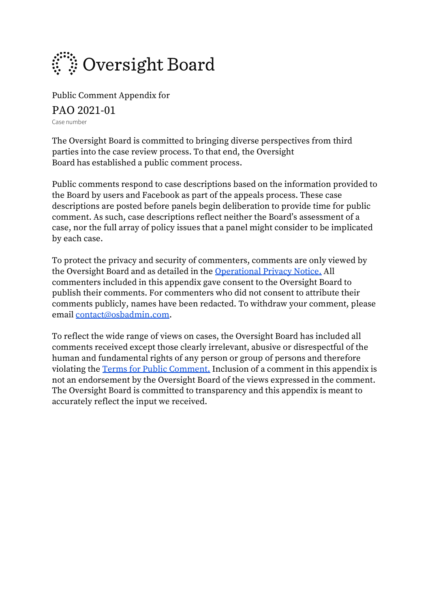

Public Comment Appendix for

PAO 2021-01

Case number

The Oversight Board is committed to bringing diverse perspectives from third parties into the case review process. To that end, the Oversight Board has established a public comment process.

Public comments respond to case descriptions based on the information provided to the Board by users and Facebook as part of the appeals process. These case descriptions are posted before panels begin deliberation to provide time for public comment. As such, case descriptions reflect neither the Board's assessment of a case, nor the full array of policy issues that a panel might consider to be implicated by each case.

To protect the privacy and security of commenters, comments are only viewed by the Oversight Board and as detailed in the [Operational Privacy Notice.](https://osbcontent.s3-eu-west-1.amazonaws.com/OSB+Operational+Privacy+Notice.pdf) All commenters included in this appendix gave consent to the Oversight Board to publish their comments. For commenters who did not consent to attribute their comments publicly, names have been redacted. To withdraw your comment, please email [contact@osbadmin.com.](mailto:contact@osbadmin.com?subject=Public%20Comment%20Form)

To reflect the wide range of views on cases, the Oversight Board has included all comments received except those clearly irrelevant, abusive or disrespectful of the human and fundamental rights of any person or group of persons and therefore violating the [Terms for Public Comment.](https://osbcontent.s3-eu-west-1.amazonaws.com/Public+Comment+Terms+OSB.pdf) Inclusion of a comment in this appendix is not an endorsement by the Oversight Board of the views expressed in the comment. The Oversight Board is committed to transparency and this appendix is meant to accurately reflect the input we received.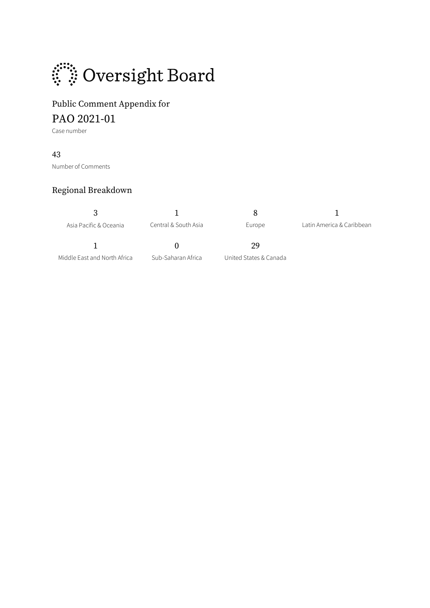

## Public Comment Appendix for PAO 2021-01

Case number

### 43

Number of Comments

## Regional Breakdown

| Asia Pacific & Oceania       | Central & South Asia | Europe                 | Latin America & Caribbean |
|------------------------------|----------------------|------------------------|---------------------------|
|                              |                      | 29                     |                           |
| Middle East and North Africa | Sub-Saharan Africa   | United States & Canada |                           |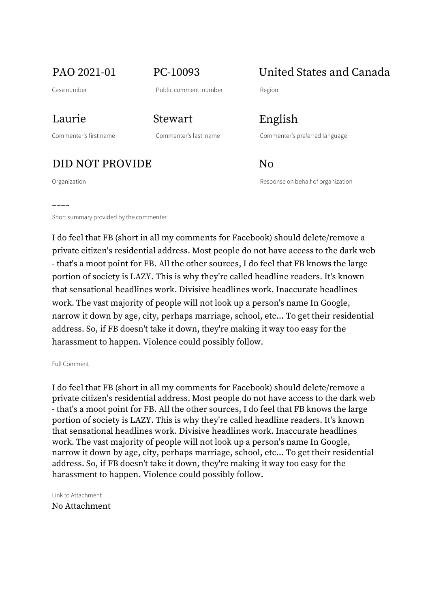## PAO 2021-01 PC-10093 United States and Canada

––––

Commenter's first name Commenter's last name Commenter's preferred language

Laurie Stewart English

DID NOT PROVIDE No

Organization Response on behalf of organization

Short summary provided by the commenter

I do feel that FB (short in all my comments for Facebook) should delete/remove a private citizen's residential address. Most people do not have access to the dark web - that's a moot point for FB. All the other sources, I do feel that FB knows the large portion of society is LAZY. This is why they're called headline readers. It's known that sensational headlines work. Divisive headlines work. Inaccurate headlines work. The vast majority of people will not look up a person's name In Google, narrow it down by age, city, perhaps marriage, school, etc... To get their residential address. So, if FB doesn't take it down, they're making it way too easy for the harassment to happen. Violence could possibly follow.

Full Comment

I do feel that FB (short in all my comments for Facebook) should delete/remove a private citizen's residential address. Most people do not have access to the dark web - that's a moot point for FB. All the other sources, I do feel that FB knows the large portion of society is LAZY. This is why they're called headline readers. It's known that sensational headlines work. Divisive headlines work. Inaccurate headlines work. The vast majority of people will not look up a person's name In Google, narrow it down by age, city, perhaps marriage, school, etc... To get their residential address. So, if FB doesn't take it down, they're making it way too easy for the harassment to happen. Violence could possibly follow.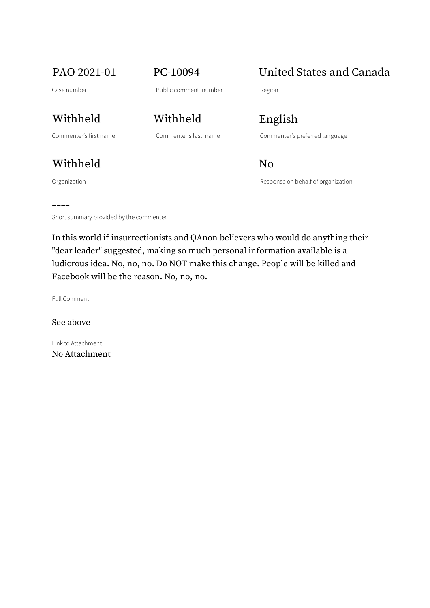## PAO 2021-01 PC-10094 United States and Canada

Commenter's first name Commenter's last name Commenter's preferred language

Withheld No

––––

Withheld Withheld English

Organization and a structure of the Company of the Response on behalf of organization

Short summary provided by the commenter

In this world if insurrectionists and QAnon believers who would do anything their "dear leader" suggested, making so much personal information available is a ludicrous idea. No, no, no. Do NOT make this change. People will be killed and Facebook will be the reason. No, no, no.

Full Comment

See above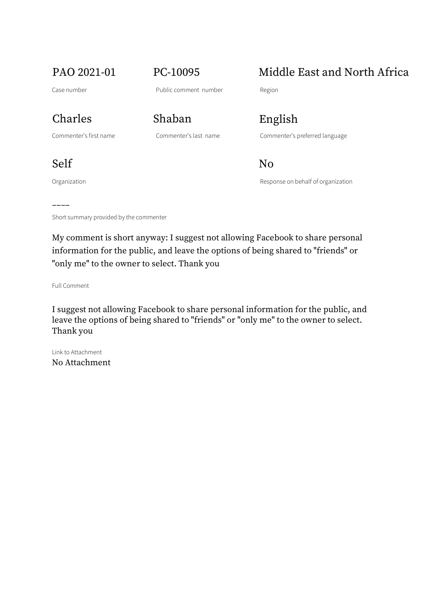## PAO 2021-01 PC-10095 Middle East and North Africa

## Charles Shaban English

Commenter's first name Commenter's last name Commenter's preferred language

Self No

Organization and a structure of the Company of the Response on behalf of organization

Short summary provided by the commenter

My comment is short anyway: I suggest not allowing Facebook to share personal information for the public, and leave the options of being shared to "friends" or "only me" to the owner to select. Thank you

Full Comment

––––

I suggest not allowing Facebook to share personal information for the public, and leave the options of being shared to "friends" or "only me" to the owner to select. Thank you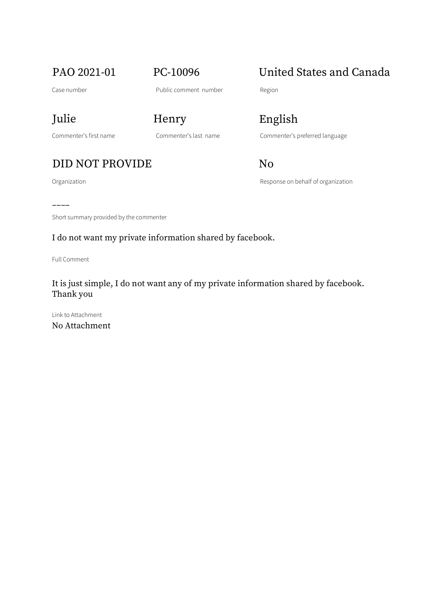PAO 2021-01 PC-10096 United States and Canada

Julie Henry English

Organization **Construction** Construction Response on behalf of organization

Commenter's first name Commenter's last name Commenter's preferred language

## DID NOT PROVIDE No

––––

Short summary provided by the commenter

### I do not want my private information shared by facebook.

Full Comment

It is just simple, I do not want any of my private information shared by facebook. Thank you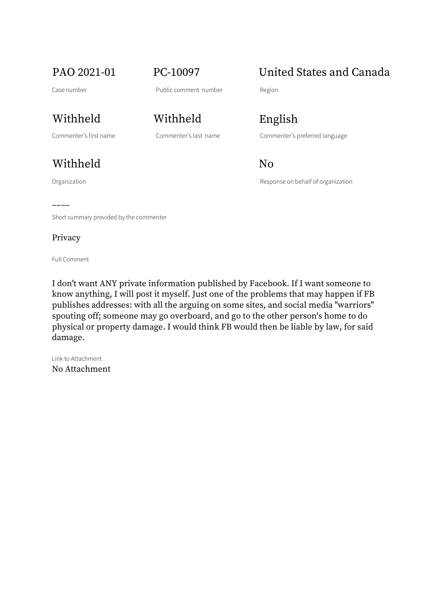## Withheld Withheld English

## Withheld No

Organization Response on behalf of organization

## PAO 2021-01 PC-10097 United States and Canada

Commenter's first name Commenter's last name Commenter's preferred language

Short summary provided by the commenter

### Privacy

––––

Full Comment

I don't want ANY private information published by Facebook. If I want someone to know anything, I will post it myself. Just one of the problems that may happen if FB publishes addresses: with all the arguing on some sites, and social media "warriors" spouting off; someone may go overboard, and go to the other person's home to do physical or property damage. I would think FB would then be liable by law, for said damage.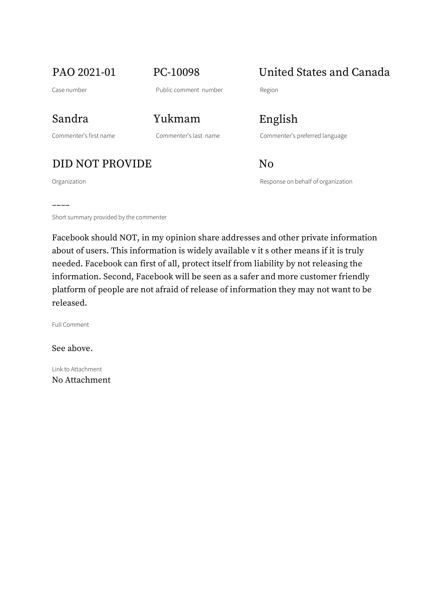PAO 2021-01 PC-10098 United States and Canada

––––

Commenter's first name Commenter's last name Commenter's preferred language

Sandra Yukmam English

DID NOT PROVIDE No

Organization and Communication Response on behalf of organization

Short summary provided by the commenter

Facebook should NOT, in my opinion share addresses and other private information about of users. This information is widely available v it s other means if it is truly needed. Facebook can first of all, protect itself from liability by not releasing the information. Second, Facebook will be seen as a safer and more customer friendly platform of people are not afraid of release of information they may not want to be released.

Full Comment

See above.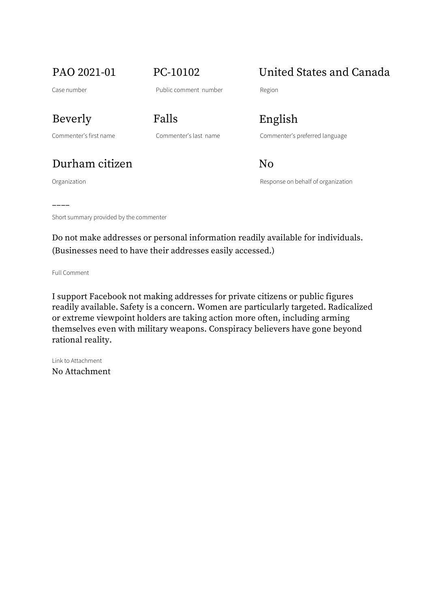## PAO 2021-01 PC-10102 United States and Canada

Commenter's first name Commenter's last name Commenter's preferred language

## Durham citizen No

Organization Response on behalf of organization

Beverly Falls English

–––– Short summary provided by the commenter

Do not make addresses or personal information readily available for individuals. (Businesses need to have their addresses easily accessed.)

Full Comment

I support Facebook not making addresses for private citizens or public figures readily available. Safety is a concern. Women are particularly targeted. Radicalized or extreme viewpoint holders are taking action more often, including arming themselves even with military weapons. Conspiracy believers have gone beyond rational reality.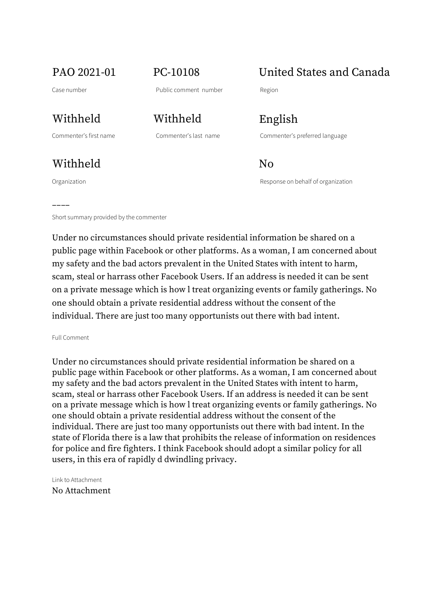Withheld No

––––

Withheld Withheld English

Commenter's first name Commenter's last name Commenter's preferred language

PAO 2021-01 PC-10108 United States and Canada

Organization Response on behalf of organization

Short summary provided by the commenter

Under no circumstances should private residential information be shared on a public page within Facebook or other platforms. As a woman, I am concerned about my safety and the bad actors prevalent in the United States with intent to harm, scam, steal or harrass other Facebook Users. If an address is needed it can be sent on a private message which is how l treat organizing events or family gatherings. No one should obtain a private residential address without the consent of the individual. There are just too many opportunists out there with bad intent.

Full Comment

Under no circumstances should private residential information be shared on a public page within Facebook or other platforms. As a woman, I am concerned about my safety and the bad actors prevalent in the United States with intent to harm, scam, steal or harrass other Facebook Users. If an address is needed it can be sent on a private message which is how l treat organizing events or family gatherings. No one should obtain a private residential address without the consent of the individual. There are just too many opportunists out there with bad intent. In the state of Florida there is a law that prohibits the release of information on residences for police and fire fighters. I think Facebook should adopt a similar policy for all users, in this era of rapidly d dwindling privacy.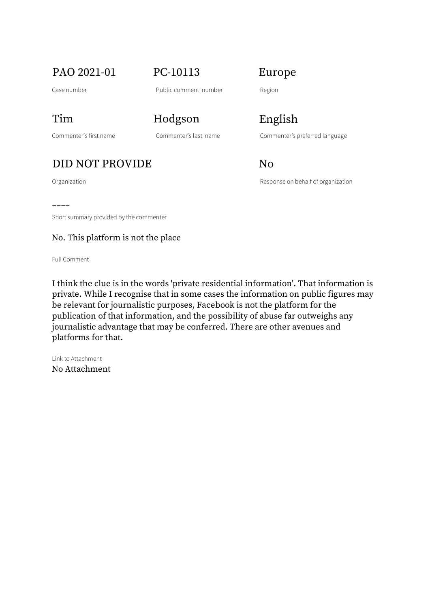PAO 2021-01 PC-10113 Europe

Case number **Public comment number** Region

Commenter's first name Commenter's last name Commenter's preferred language

Tim Hodgson English

## DID NOT PROVIDE No

Organization and Communication Response on behalf of organization

–––– Short summary provided by the commenter

No. This platform is not the place

Full Comment

I think the clue is in the words 'private residential information'. That information is private. While I recognise that in some cases the information on public figures may be relevant for journalistic purposes, Facebook is not the platform for the publication of that information, and the possibility of abuse far outweighs any journalistic advantage that may be conferred. There are other avenues and platforms for that.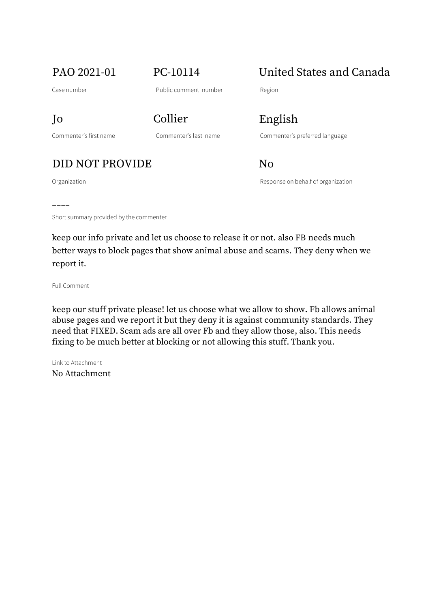Commenter's first name Commenter's last name Commenter's preferred language

Jo Collier English

## DID NOT PROVIDE No

Organization Response on behalf of organization

PAO 2021-01 PC-10114 United States and Canada

–––– Short summary provided by the commenter

keep our info private and let us choose to release it or not. also FB needs much better ways to block pages that show animal abuse and scams. They deny when we report it.

Full Comment

keep our stuff private please! let us choose what we allow to show. Fb allows animal abuse pages and we report it but they deny it is against community standards. They need that FIXED. Scam ads are all over Fb and they allow those, also. This needs fixing to be much better at blocking or not allowing this stuff. Thank you.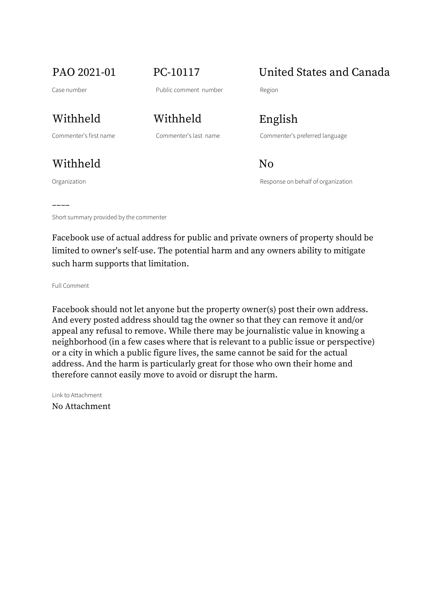PAO 2021-01 PC-10117 United States and Canada

Withheld No

––––

Withheld Withheld English

Commenter's first name Commenter's last name Commenter's preferred language

Organization Response on behalf of organization

Short summary provided by the commenter

Facebook use of actual address for public and private owners of property should be limited to owner's self-use. The potential harm and any owners ability to mitigate such harm supports that limitation.

Full Comment

Facebook should not let anyone but the property owner(s) post their own address. And every posted address should tag the owner so that they can remove it and/or appeal any refusal to remove. While there may be journalistic value in knowing a neighborhood (in a few cases where that is relevant to a public issue or perspective) or a city in which a public figure lives, the same cannot be said for the actual address. And the harm is particularly great for those who own their home and therefore cannot easily move to avoid or disrupt the harm.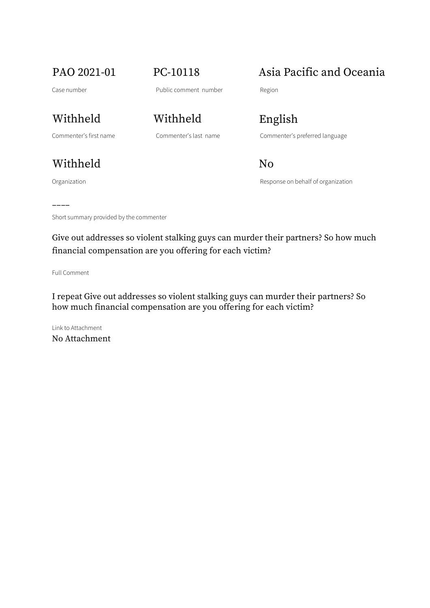PAO 2021-01 PC-10118 Asia Pacific and Oceania

Withheld Withheld English

Withheld No

Organization and a structure of the Company of the Response on behalf of organization

––––

Commenter's first name Commenter's last name Commenter's preferred language

Short summary provided by the commenter

Give out addresses so violent stalking guys can murder their partners? So how much financial compensation are you offering for each victim?

Full Comment

I repeat Give out addresses so violent stalking guys can murder their partners? So how much financial compensation are you offering for each victim?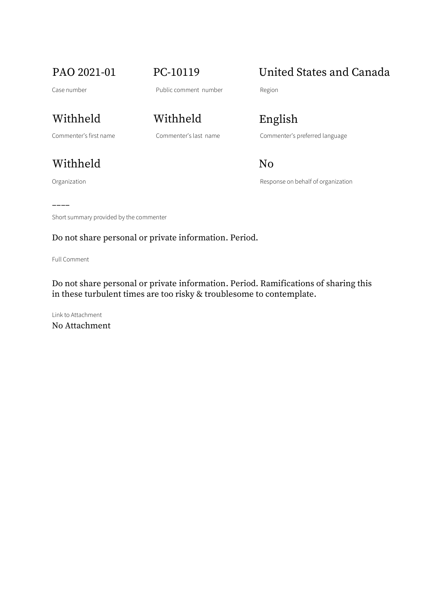PAO 2021-01 PC-10119 United States and Canada

Withheld Withheld English

Withheld No

Organization **Construction** Construction Response on behalf of organization

Commenter's first name Commenter's last name Commenter's preferred language

–––– Short summary provided by the commenter

Do not share personal or private information. Period.

Full Comment

Do not share personal or private information. Period. Ramifications of sharing this in these turbulent times are too risky & troublesome to contemplate.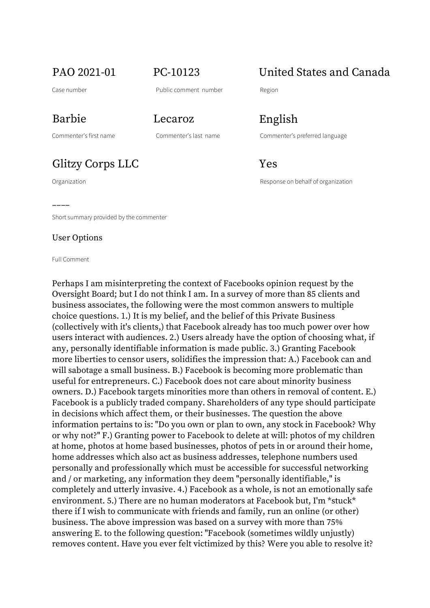## PAO 2021-01 PC-10123 United States and Canada

Case number **Case number** Public comment number Region

––––

Organization Response on behalf of organization

Short summary provided by the commenter

### User Options

### Full Comment

Perhaps I am misinterpreting the context of Facebooks opinion request by the Oversight Board; but I do not think I am. In a survey of more than 85 clients and business associates, the following were the most common answers to multiple choice questions. 1.) It is my belief, and the belief of this Private Business (collectively with it's clients,) that Facebook already has too much power over how users interact with audiences. 2.) Users already have the option of choosing what, if any, personally identifiable information is made public. 3.) Granting Facebook more liberties to censor users, solidifies the impression that: A.) Facebook can and will sabotage a small business. B.) Facebook is becoming more problematic than useful for entrepreneurs. C.) Facebook does not care about minority business owners. D.) Facebook targets minorities more than others in removal of content. E.) Facebook is a publicly traded company. Shareholders of any type should participate in decisions which affect them, or their businesses. The question the above information pertains to is: "Do you own or plan to own, any stock in Facebook? Why or why not?" F.) Granting power to Facebook to delete at will: photos of my children at home, photos at home based businesses, photos of pets in or around their home, home addresses which also act as business addresses, telephone numbers used personally and professionally which must be accessible for successful networking and / or marketing, any information they deem "personally identifiable," is completely and utterly invasive. 4.) Facebook as a whole, is not an emotionally safe environment. 5.) There are no human moderators at Facebook but, I'm \*stuck\* there if I wish to communicate with friends and family, run an online (or other) business. The above impression was based on a survey with more than 75% answering E. to the following question: "Facebook (sometimes wildly unjustly) removes content. Have you ever felt victimized by this? Were you able to resolve it?

Barbie Lecaroz English

Commenter's first name Commenter's last name Commenter's preferred language

Glitzy Corps LLC Yes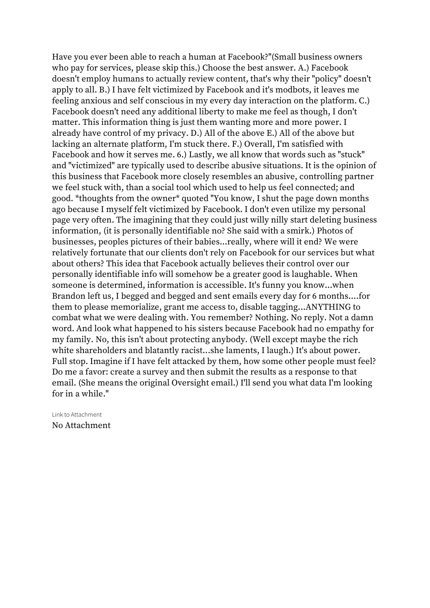Have you ever been able to reach a human at Facebook?"(Small business owners who pay for services, please skip this.) Choose the best answer. A.) Facebook doesn't employ humans to actually review content, that's why their "policy" doesn't apply to all. B.) I have felt victimized by Facebook and it's modbots, it leaves me feeling anxious and self conscious in my every day interaction on the platform. C.) Facebook doesn't need any additional liberty to make me feel as though, I don't matter. This information thing is just them wanting more and more power. I already have control of my privacy. D.) All of the above E.) All of the above but lacking an alternate platform, I'm stuck there. F.) Overall, I'm satisfied with Facebook and how it serves me. 6.) Lastly, we all know that words such as "stuck" and "victimized" are typically used to describe abusive situations. It is the opinion of this business that Facebook more closely resembles an abusive, controlling partner we feel stuck with, than a social tool which used to help us feel connected; and good. \*thoughts from the owner\* quoted "You know, I shut the page down months ago because I myself felt victimized by Facebook. I don't even utilize my personal page very often. The imagining that they could just willy nilly start deleting business information, (it is personally identifiable no? She said with a smirk.) Photos of businesses, peoples pictures of their babies...really, where will it end? We were relatively fortunate that our clients don't rely on Facebook for our services but what about others? This idea that Facebook actually believes their control over our personally identifiable info will somehow be a greater good is laughable. When someone is determined, information is accessible. It's funny you know...when Brandon left us, I begged and begged and sent emails every day for 6 months....for them to please memorialize, grant me access to, disable tagging...ANYTHING to combat what we were dealing with. You remember? Nothing. No reply. Not a damn word. And look what happened to his sisters because Facebook had no empathy for my family. No, this isn't about protecting anybody. (Well except maybe the rich white shareholders and blatantly racist...she laments, I laugh.) It's about power. Full stop. Imagine if I have felt attacked by them, how some other people must feel? Do me a favor: create a survey and then submit the results as a response to that email. (She means the original Oversight email.) I'll send you what data I'm looking for in a while."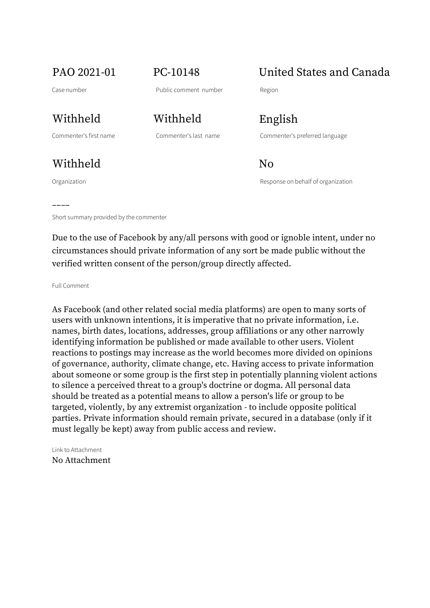PAO 2021-01 PC-10148 United States and Canada

Withheld No

––––

Withheld Withheld English

Commenter's first name Commenter's last name Commenter's preferred language

Organization Response on behalf of organization

Short summary provided by the commenter

Due to the use of Facebook by any/all persons with good or ignoble intent, under no circumstances should private information of any sort be made public without the verified written consent of the person/group directly affected.

Full Comment

As Facebook (and other related social media platforms) are open to many sorts of users with unknown intentions, it is imperative that no private information, i.e. names, birth dates, locations, addresses, group affiliations or any other narrowly identifying information be published or made available to other users. Violent reactions to postings may increase as the world becomes more divided on opinions of governance, authority, climate change, etc. Having access to private information about someone or some group is the first step in potentially planning violent actions to silence a perceived threat to a group's doctrine or dogma. All personal data should be treated as a potential means to allow a person's life or group to be targeted, violently, by any extremist organization - to include opposite political parties. Private information should remain private, secured in a database (only if it must legally be kept) away from public access and review.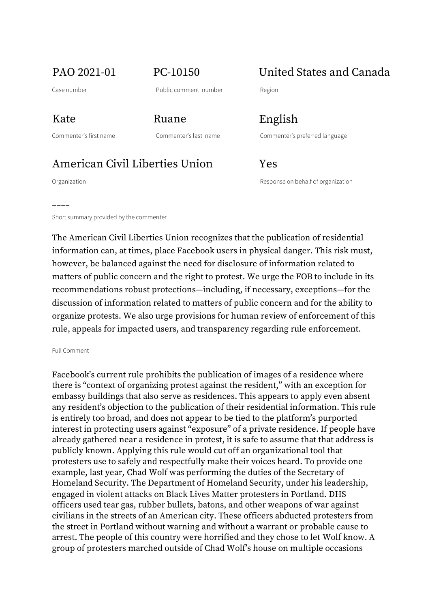PAO 2021-01 PC-10150 United States and Canada

Commenter's first name Commenter's last name Commenter's preferred language Kate Ruane English

American Civil Liberties Union Yes

Organization Response on behalf of organization

––––

Short summary provided by the commenter

The American Civil Liberties Union recognizes that the publication of residential information can, at times, place Facebook users in physical danger. This risk must, however, be balanced against the need for disclosure of information related to matters of public concern and the right to protest. We urge the FOB to include in its recommendations robust protections—including, if necessary, exceptions—for the discussion of information related to matters of public concern and for the ability to organize protests. We also urge provisions for human review of enforcement of this rule, appeals for impacted users, and transparency regarding rule enforcement.

### Full Comment

Facebook's current rule prohibits the publication of images of a residence where there is "context of organizing protest against the resident," with an exception for embassy buildings that also serve as residences. This appears to apply even absent any resident's objection to the publication of their residential information. This rule is entirely too broad, and does not appear to be tied to the platform's purported interest in protecting users against "exposure" of a private residence. If people have already gathered near a residence in protest, it is safe to assume that that address is publicly known. Applying this rule would cut off an organizational tool that protesters use to safely and respectfully make their voices heard. To provide one example, last year, Chad Wolf was performing the duties of the Secretary of Homeland Security. The Department of Homeland Security, under his leadership, engaged in violent attacks on Black Lives Matter protesters in Portland. DHS officers used tear gas, rubber bullets, batons, and other weapons of war against civilians in the streets of an American city. These officers abducted protesters from the street in Portland without warning and without a warrant or probable cause to arrest. The people of this country were horrified and they chose to let Wolf know. A group of protesters marched outside of Chad Wolf's house on multiple occasions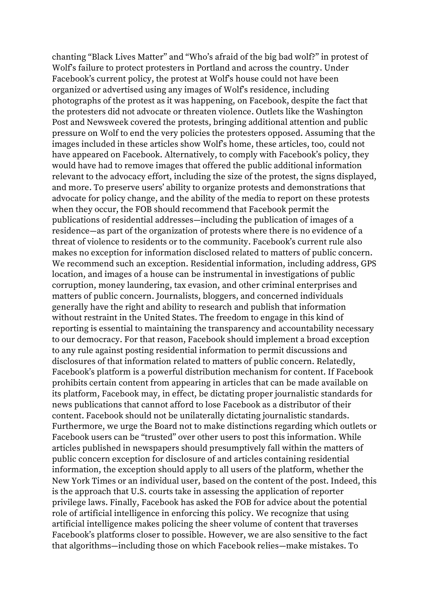chanting "Black Lives Matter" and "Who's afraid of the big bad wolf?" in protest of Wolf's failure to protect protesters in Portland and across the country. Under Facebook's current policy, the protest at Wolf's house could not have been organized or advertised using any images of Wolf's residence, including photographs of the protest as it was happening, on Facebook, despite the fact that the protesters did not advocate or threaten violence. Outlets like the Washington Post and Newsweek covered the protests, bringing additional attention and public pressure on Wolf to end the very policies the protesters opposed. Assuming that the images included in these articles show Wolf's home, these articles, too, could not have appeared on Facebook. Alternatively, to comply with Facebook's policy, they would have had to remove images that offered the public additional information relevant to the advocacy effort, including the size of the protest, the signs displayed, and more. To preserve users' ability to organize protests and demonstrations that advocate for policy change, and the ability of the media to report on these protests when they occur, the FOB should recommend that Facebook permit the publications of residential addresses—including the publication of images of a residence—as part of the organization of protests where there is no evidence of a threat of violence to residents or to the community. Facebook's current rule also makes no exception for information disclosed related to matters of public concern. We recommend such an exception. Residential information, including address, GPS location, and images of a house can be instrumental in investigations of public corruption, money laundering, tax evasion, and other criminal enterprises and matters of public concern. Journalists, bloggers, and concerned individuals generally have the right and ability to research and publish that information without restraint in the United States. The freedom to engage in this kind of reporting is essential to maintaining the transparency and accountability necessary to our democracy. For that reason, Facebook should implement a broad exception to any rule against posting residential information to permit discussions and disclosures of that information related to matters of public concern. Relatedly, Facebook's platform is a powerful distribution mechanism for content. If Facebook prohibits certain content from appearing in articles that can be made available on its platform, Facebook may, in effect, be dictating proper journalistic standards for news publications that cannot afford to lose Facebook as a distributor of their content. Facebook should not be unilaterally dictating journalistic standards. Furthermore, we urge the Board not to make distinctions regarding which outlets or Facebook users can be "trusted" over other users to post this information. While articles published in newspapers should presumptively fall within the matters of public concern exception for disclosure of and articles containing residential information, the exception should apply to all users of the platform, whether the New York Times or an individual user, based on the content of the post. Indeed, this is the approach that U.S. courts take in assessing the application of reporter privilege laws. Finally, Facebook has asked the FOB for advice about the potential role of artificial intelligence in enforcing this policy. We recognize that using artificial intelligence makes policing the sheer volume of content that traverses Facebook's platforms closer to possible. However, we are also sensitive to the fact that algorithms—including those on which Facebook relies—make mistakes. To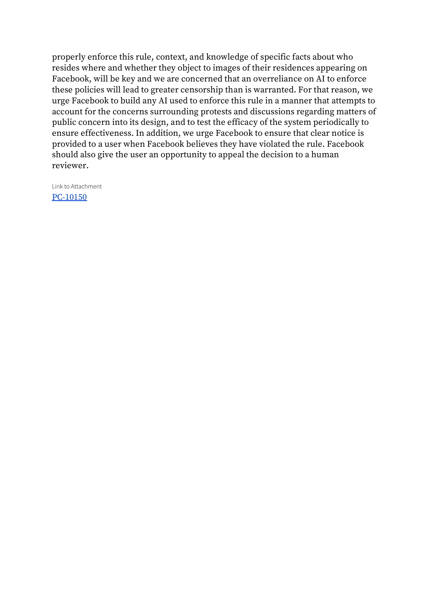properly enforce this rule, context, and knowledge of specific facts about who resides where and whether they object to images of their residences appearing on Facebook, will be key and we are concerned that an overreliance on AI to enforce these policies will lead to greater censorship than is warranted. For that reason, we urge Facebook to build any AI used to enforce this rule in a manner that attempts to account for the concerns surrounding protests and discussions regarding matters of public concern into its design, and to test the efficacy of the system periodically to ensure effectiveness. In addition, we urge Facebook to ensure that clear notice is provided to a user when Facebook believes they have violated the rule. Facebook should also give the user an opportunity to appeal the decision to a human reviewer.

Link to Attachment [PC-10150](https://osbcontent.s3.eu-west-1.amazonaws.com/PC-10150.pdf)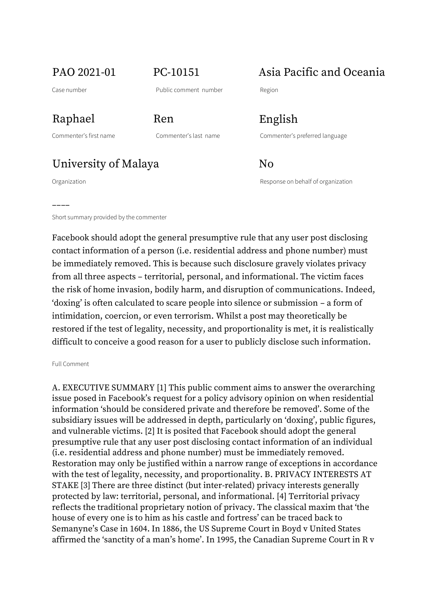## PAO 2021-01 PC-10151 Asia Pacific and Oceania

––––

Raphael Ren English

Commenter's first name Commenter's last name Commenter's preferred language

University of Malaya No

Organization Response on behalf of organization

Short summary provided by the commenter

Facebook should adopt the general presumptive rule that any user post disclosing contact information of a person (i.e. residential address and phone number) must be immediately removed. This is because such disclosure gravely violates privacy from all three aspects – territorial, personal, and informational. The victim faces the risk of home invasion, bodily harm, and disruption of communications. Indeed, 'doxing' is often calculated to scare people into silence or submission – a form of intimidation, coercion, or even terrorism. Whilst a post may theoretically be restored if the test of legality, necessity, and proportionality is met, it is realistically difficult to conceive a good reason for a user to publicly disclose such information.

### Full Comment

A. EXECUTIVE SUMMARY [1] This public comment aims to answer the overarching issue posed in Facebook's request for a policy advisory opinion on when residential information 'should be considered private and therefore be removed'. Some of the subsidiary issues will be addressed in depth, particularly on 'doxing', public figures, and vulnerable victims. [2] It is posited that Facebook should adopt the general presumptive rule that any user post disclosing contact information of an individual (i.e. residential address and phone number) must be immediately removed. Restoration may only be justified within a narrow range of exceptions in accordance with the test of legality, necessity, and proportionality. B. PRIVACY INTERESTS AT STAKE [3] There are three distinct (but inter-related) privacy interests generally protected by law: territorial, personal, and informational. [4] Territorial privacy reflects the traditional proprietary notion of privacy. The classical maxim that 'the house of every one is to him as his castle and fortress' can be traced back to Semanyne's Case in 1604. In 1886, the US Supreme Court in Boyd v United States affirmed the 'sanctity of a man's home'. In 1995, the Canadian Supreme Court in R v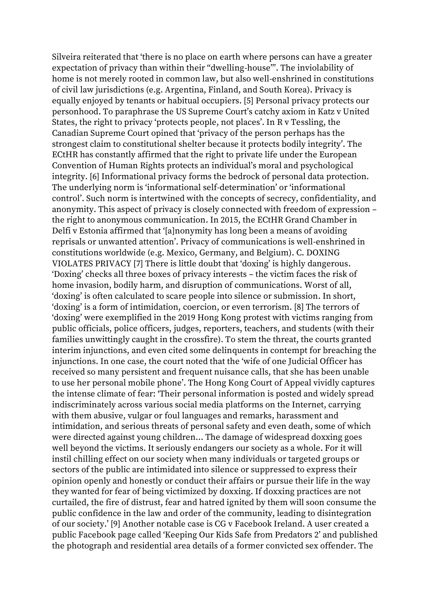Silveira reiterated that 'there is no place on earth where persons can have a greater expectation of privacy than within their "dwelling-house"'. The inviolability of home is not merely rooted in common law, but also well-enshrined in constitutions of civil law jurisdictions (e.g. Argentina, Finland, and South Korea). Privacy is equally enjoyed by tenants or habitual occupiers. [5] Personal privacy protects our personhood. To paraphrase the US Supreme Court's catchy axiom in Katz v United States, the right to privacy 'protects people, not places'. In R v Tessling, the Canadian Supreme Court opined that 'privacy of the person perhaps has the strongest claim to constitutional shelter because it protects bodily integrity'. The ECtHR has constantly affirmed that the right to private life under the European Convention of Human Rights protects an individual's moral and psychological integrity. [6] Informational privacy forms the bedrock of personal data protection. The underlying norm is 'informational self-determination' or 'informational control'. Such norm is intertwined with the concepts of secrecy, confidentiality, and anonymity. This aspect of privacy is closely connected with freedom of expression – the right to anonymous communication. In 2015, the ECtHR Grand Chamber in Delfi v Estonia affirmed that '[a]nonymity has long been a means of avoiding reprisals or unwanted attention'. Privacy of communications is well-enshrined in constitutions worldwide (e.g. Mexico, Germany, and Belgium). C. DOXING VIOLATES PRIVACY [7] There is little doubt that 'doxing' is highly dangerous. 'Doxing' checks all three boxes of privacy interests – the victim faces the risk of home invasion, bodily harm, and disruption of communications. Worst of all, 'doxing' is often calculated to scare people into silence or submission. In short, 'doxing' is a form of intimidation, coercion, or even terrorism. [8] The terrors of 'doxing' were exemplified in the 2019 Hong Kong protest with victims ranging from public officials, police officers, judges, reporters, teachers, and students (with their families unwittingly caught in the crossfire). To stem the threat, the courts granted interim injunctions, and even cited some delinquents in contempt for breaching the injunctions. In one case, the court noted that the 'wife of one Judicial Officer has received so many persistent and frequent nuisance calls, that she has been unable to use her personal mobile phone'. The Hong Kong Court of Appeal vividly captures the intense climate of fear: 'Their personal information is posted and widely spread indiscriminately across various social media platforms on the Internet, carrying with them abusive, vulgar or foul languages and remarks, harassment and intimidation, and serious threats of personal safety and even death, some of which were directed against young children… The damage of widespread doxxing goes well beyond the victims. It seriously endangers our society as a whole. For it will instil chilling effect on our society when many individuals or targeted groups or sectors of the public are intimidated into silence or suppressed to express their opinion openly and honestly or conduct their affairs or pursue their life in the way they wanted for fear of being victimized by doxxing. If doxxing practices are not curtailed, the fire of distrust, fear and hatred ignited by them will soon consume the public confidence in the law and order of the community, leading to disintegration of our society.' [9] Another notable case is CG v Facebook Ireland. A user created a public Facebook page called 'Keeping Our Kids Safe from Predators 2' and published the photograph and residential area details of a former convicted sex offender. The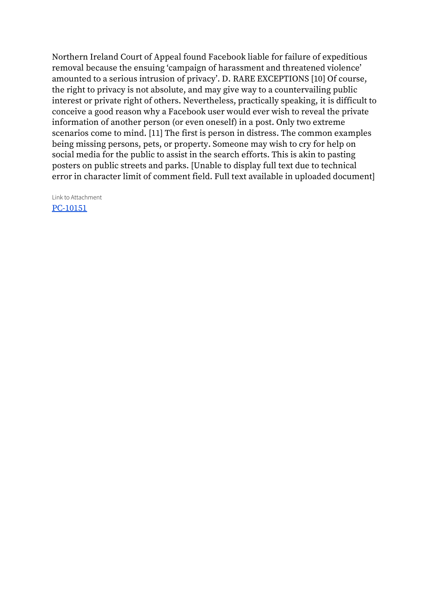Northern Ireland Court of Appeal found Facebook liable for failure of expeditious removal because the ensuing 'campaign of harassment and threatened violence' amounted to a serious intrusion of privacy'. D. RARE EXCEPTIONS [10] Of course, the right to privacy is not absolute, and may give way to a countervailing public interest or private right of others. Nevertheless, practically speaking, it is difficult to conceive a good reason why a Facebook user would ever wish to reveal the private information of another person (or even oneself) in a post. Only two extreme scenarios come to mind. [11] The first is person in distress. The common examples being missing persons, pets, or property. Someone may wish to cry for help on social media for the public to assist in the search efforts. This is akin to pasting posters on public streets and parks. [Unable to display full text due to technical error in character limit of comment field. Full text available in uploaded document]

Link to Attachment [PC-10151](https://osbcontent.s3.eu-west-1.amazonaws.com/PC-10151.pdf)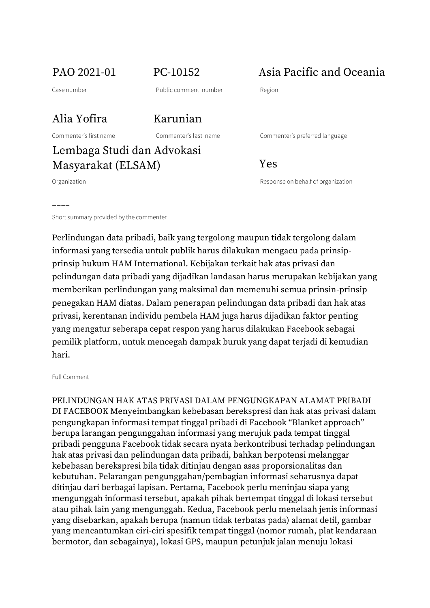PAO 2021-01 PC-10152 Asia Pacific and Oceania

Case number Public comment number Region

Alia Yofira Karunian

Commenter's first name Commenter's last name Commenter's preferred language

Lembaga Studi dan Advokasi Masyarakat (ELSAM) Yes

––––

Organization Response on behalf of organization

Short summary provided by the commenter

Perlindungan data pribadi, baik yang tergolong maupun tidak tergolong dalam informasi yang tersedia untuk publik harus dilakukan mengacu pada prinsipprinsip hukum HAM International. Kebijakan terkait hak atas privasi dan pelindungan data pribadi yang dijadikan landasan harus merupakan kebijakan yang memberikan perlindungan yang maksimal dan memenuhi semua prinsin-prinsip penegakan HAM diatas. Dalam penerapan pelindungan data pribadi dan hak atas privasi, kerentanan individu pembela HAM juga harus dijadikan faktor penting yang mengatur seberapa cepat respon yang harus dilakukan Facebook sebagai pemilik platform, untuk mencegah dampak buruk yang dapat terjadi di kemudian hari.

### Full Comment

PELINDUNGAN HAK ATAS PRIVASI DALAM PENGUNGKAPAN ALAMAT PRIBADI DI FACEBOOK Menyeimbangkan kebebasan berekspresi dan hak atas privasi dalam pengungkapan informasi tempat tinggal pribadi di Facebook "Blanket approach" berupa larangan pengunggahan informasi yang merujuk pada tempat tinggal pribadi pengguna Facebook tidak secara nyata berkontribusi terhadap pelindungan hak atas privasi dan pelindungan data pribadi, bahkan berpotensi melanggar kebebasan berekspresi bila tidak ditinjau dengan asas proporsionalitas dan kebutuhan. Pelarangan pengunggahan/pembagian informasi seharusnya dapat ditinjau dari berbagai lapisan. Pertama, Facebook perlu meninjau siapa yang mengunggah informasi tersebut, apakah pihak bertempat tinggal di lokasi tersebut atau pihak lain yang mengunggah. Kedua, Facebook perlu menelaah jenis informasi yang disebarkan, apakah berupa (namun tidak terbatas pada) alamat detil, gambar yang mencantumkan ciri-ciri spesifik tempat tinggal (nomor rumah, plat kendaraan bermotor, dan sebagainya), lokasi GPS, maupun petunjuk jalan menuju lokasi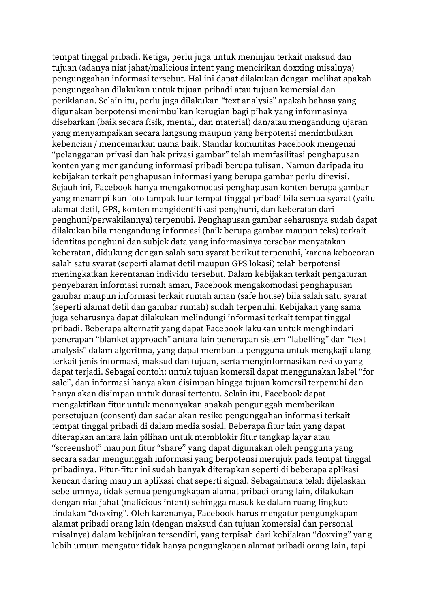tempat tinggal pribadi. Ketiga, perlu juga untuk meninjau terkait maksud dan tujuan (adanya niat jahat/malicious intent yang mencirikan doxxing misalnya) pengunggahan informasi tersebut. Hal ini dapat dilakukan dengan melihat apakah pengunggahan dilakukan untuk tujuan pribadi atau tujuan komersial dan periklanan. Selain itu, perlu juga dilakukan "text analysis" apakah bahasa yang digunakan berpotensi menimbulkan kerugian bagi pihak yang informasinya disebarkan (baik secara fisik, mental, dan material) dan/atau mengandung ujaran yang menyampaikan secara langsung maupun yang berpotensi menimbulkan kebencian / mencemarkan nama baik. Standar komunitas Facebook mengenai "pelanggaran privasi dan hak privasi gambar" telah memfasilitasi penghapusan konten yang mengandung informasi pribadi berupa tulisan. Namun daripada itu kebijakan terkait penghapusan informasi yang berupa gambar perlu direvisi. Sejauh ini, Facebook hanya mengakomodasi penghapusan konten berupa gambar yang menampilkan foto tampak luar tempat tinggal pribadi bila semua syarat (yaitu alamat detil, GPS, konten mengidentifikasi penghuni, dan keberatan dari penghuni/perwakilannya) terpenuhi. Penghapusan gambar seharusnya sudah dapat dilakukan bila mengandung informasi (baik berupa gambar maupun teks) terkait identitas penghuni dan subjek data yang informasinya tersebar menyatakan keberatan, didukung dengan salah satu syarat berikut terpenuhi, karena kebocoran salah satu syarat (seperti alamat detil maupun GPS lokasi) telah berpotensi meningkatkan kerentanan individu tersebut. Dalam kebijakan terkait pengaturan penyebaran informasi rumah aman, Facebook mengakomodasi penghapusan gambar maupun informasi terkait rumah aman (safe house) bila salah satu syarat (seperti alamat detil dan gambar rumah) sudah terpenuhi. Kebijakan yang sama juga seharusnya dapat dilakukan melindungi informasi terkait tempat tinggal pribadi. Beberapa alternatif yang dapat Facebook lakukan untuk menghindari penerapan "blanket approach" antara lain penerapan sistem "labelling" dan "text analysis" dalam algoritma, yang dapat membantu pengguna untuk mengkaji ulang terkait jenis informasi, maksud dan tujuan, serta menginformasikan resiko yang dapat terjadi. Sebagai contoh: untuk tujuan komersil dapat menggunakan label "for sale", dan informasi hanya akan disimpan hingga tujuan komersil terpenuhi dan hanya akan disimpan untuk durasi tertentu. Selain itu, Facebook dapat mengaktifkan fitur untuk menanyakan apakah pengunggah memberikan persetujuan (consent) dan sadar akan resiko pengunggahan informasi terkait tempat tinggal pribadi di dalam media sosial. Beberapa fitur lain yang dapat diterapkan antara lain pilihan untuk memblokir fitur tangkap layar atau "screenshot" maupun fitur "share" yang dapat digunakan oleh pengguna yang secara sadar mengunggah informasi yang berpotensi merujuk pada tempat tinggal pribadinya. Fitur-fitur ini sudah banyak diterapkan seperti di beberapa aplikasi kencan daring maupun aplikasi chat seperti signal. Sebagaimana telah dijelaskan sebelumnya, tidak semua pengungkapan alamat pribadi orang lain, dilakukan dengan niat jahat (malicious intent) sehingga masuk ke dalam ruang lingkup tindakan "doxxing". Oleh karenanya, Facebook harus mengatur pengungkapan alamat pribadi orang lain (dengan maksud dan tujuan komersial dan personal misalnya) dalam kebijakan tersendiri, yang terpisah dari kebijakan "doxxing" yang lebih umum mengatur tidak hanya pengungkapan alamat pribadi orang lain, tapi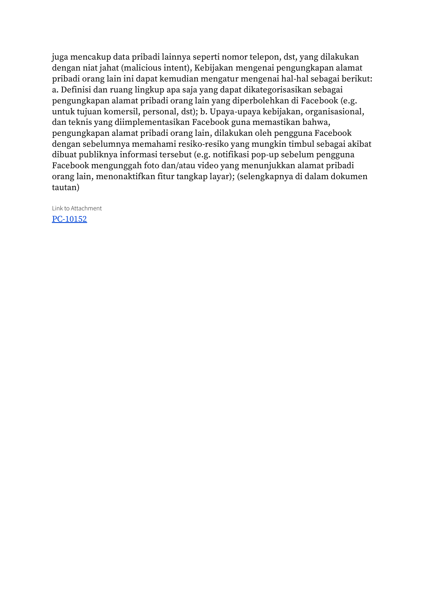juga mencakup data pribadi lainnya seperti nomor telepon, dst, yang dilakukan dengan niat jahat (malicious intent), Kebijakan mengenai pengungkapan alamat pribadi orang lain ini dapat kemudian mengatur mengenai hal-hal sebagai berikut: a. Definisi dan ruang lingkup apa saja yang dapat dikategorisasikan sebagai pengungkapan alamat pribadi orang lain yang diperbolehkan di Facebook (e.g. untuk tujuan komersil, personal, dst); b. Upaya-upaya kebijakan, organisasional, dan teknis yang diimplementasikan Facebook guna memastikan bahwa, pengungkapan alamat pribadi orang lain, dilakukan oleh pengguna Facebook dengan sebelumnya memahami resiko-resiko yang mungkin timbul sebagai akibat dibuat publiknya informasi tersebut (e.g. notifikasi pop-up sebelum pengguna Facebook mengunggah foto dan/atau video yang menunjukkan alamat pribadi orang lain, menonaktifkan fitur tangkap layar); (selengkapnya di dalam dokumen tautan)

Link to Attachment [PC-10152](https://osbcontent.s3.eu-west-1.amazonaws.com/PC-10152.pdf)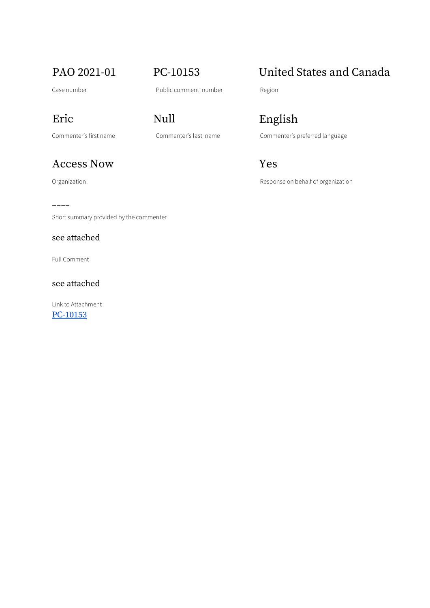Access Now Yes

––––

Short summary provided by the commenter

see attached

Full Comment

see attached

Link to Attachment

[PC-10153](https://osbcontent.s3.eu-west-1.amazonaws.com/PC-10153.pdf)

# Eric Null English

Commenter's first name Commenter's last name Commenter's preferred language

Organization **Contracts** Construction Response on behalf of organization

## PAO 2021-01 PC-10153 United States and Canada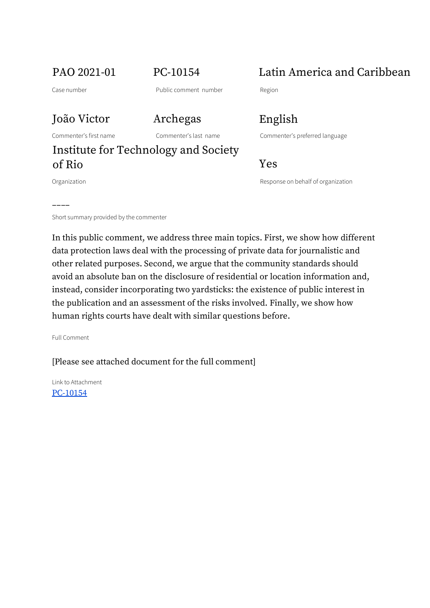## João Victor Archegas English

## Institute for Technology and Society of Rio Yes

––––

PAO 2021-01 PC-10154 Latin America and Caribbean

Commenter's first name Commenter's last name Commenter's preferred language

Organization Response on behalf of organization

Short summary provided by the commenter

In this public comment, we address three main topics. First, we show how different data protection laws deal with the processing of private data for journalistic and other related purposes. Second, we argue that the community standards should avoid an absolute ban on the disclosure of residential or location information and, instead, consider incorporating two yardsticks: the existence of public interest in the publication and an assessment of the risks involved. Finally, we show how human rights courts have dealt with similar questions before.

Full Comment

[Please see attached document for the full comment]

Link to Attachment [PC-10154](https://osbcontent.s3.eu-west-1.amazonaws.com/PC-10154.pdf)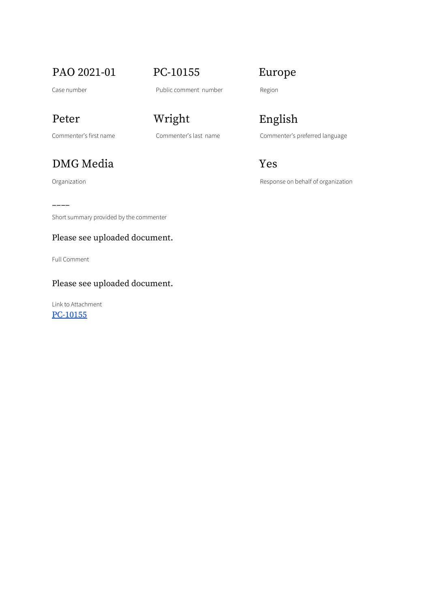PAO 2021-01 PC-10155 Europe

Case number **Case number** Public comment number Region

## DMG Media Yes

––––

Short summary provided by the commenter

### Please see uploaded document.

Full Comment

### Please see uploaded document.

Link to Attachment [PC-10155](https://osbcontent.s3.eu-west-1.amazonaws.com/PC-10155.pdf)

# Peter Wright English

Commenter's first name Commenter's last name Commenter's preferred language

Organization **Construction** Construction Response on behalf of organization